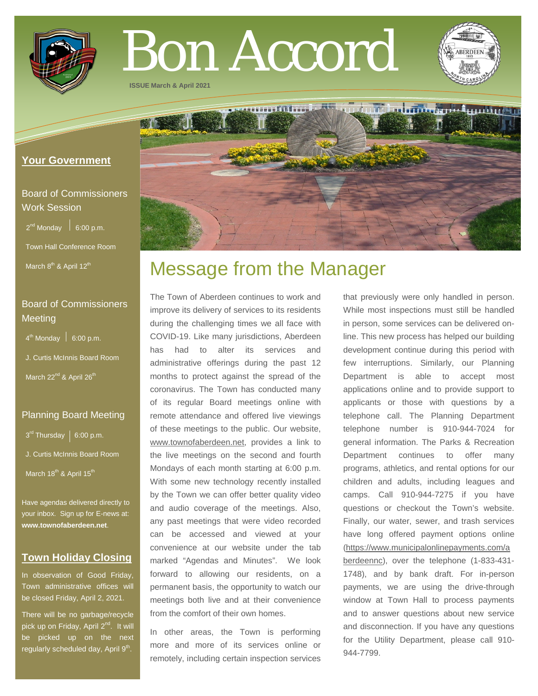

# Bon Accord

**THYNEY OF LE** 

**ISSUE March & April 2021**

# **Your Government**

# Board of Commissioners Work Session

 $2^{nd}$  Monday  $\Big|$  6:00 p.m.

Town Hall Conference Room

March  $8<sup>th</sup>$  & April 12<sup>th</sup>

# Board of Commissioners **Meeting**

 $4<sup>th</sup>$  Monday  $\Big|$  6:00 p.m.

J. Curtis McInnis Board Room

March 22<sup>nd</sup> & April 26<sup>th</sup>

# Planning Board Meeting

 $3^{rd}$  Thursday | 6:00 p.m.

- J. Curtis McInnis Board Room
- March 18<sup>th</sup> & April 15<sup>th</sup>

Have agendas delivered directly to your inbox. Sign up for E-news at: **[www.townofaberdeen.net](http://www.townofaberdeen.net/)**.

# **Town Holiday Closing**

In observation of Good Friday, Town administrative offices will be closed Friday, April 2, 2021.

There will be no garbage/recycle pick up on Friday, April 2<sup>nd</sup>. It will be picked up on the next regularly scheduled day, April 9<sup>th</sup>.

# Message from the Manager

The Town of Aberdeen continues to work and improve its delivery of services to its residents during the challenging times we all face with COVID-19. Like many jurisdictions, Aberdeen has had to alter its services and administrative offerings during the past 12 months to protect against the spread of the coronavirus. The Town has conducted many of its regular Board meetings online with remote attendance and offered live viewings of these meetings to the public. Our website, [www.townofaberdeen.net,](http://www.townofaberdeen.net/) provides a link to the live meetings on the second and fourth Mondays of each month starting at 6:00 p.m. With some new technology recently installed by the Town we can offer better quality video and audio coverage of the meetings. Also, any past meetings that were video recorded can be accessed and viewed at your convenience at our website under the tab marked "Agendas and Minutes". We look forward to allowing our residents, on a permanent basis, the opportunity to watch our meetings both live and at their convenience from the comfort of their own homes.

In other areas, the Town is performing more and more of its services online or remotely, including certain inspection services

that previously were only handled in person. While most inspections must still be handled in person, some services can be delivered online. This new process has helped our building development continue during this period with few interruptions. Similarly, our Planning Department is able to accept most applications online and to provide support to applicants or those with questions by a telephone call. The Planning Department telephone number is 910-944-7024 for general information. The Parks & Recreation Department continues to offer many programs, athletics, and rental options for our children and adults, including leagues and camps. Call 910-944-7275 if you have questions or checkout the Town's website. Finally, our water, sewer, and trash services have long offered payment options online [\(https://www.municipalonlinepayments.com/a](https://www.municipalonlinepayments.com/aberdeennc) [berdeennc\)](https://www.municipalonlinepayments.com/aberdeennc), over the telephone (1-833-431- 1748), and by bank draft. For in-person payments, we are using the drive-through window at Town Hall to process payments and to answer questions about new service and disconnection. If you have any questions for the Utility Department, please call 910- 944-7799.

dum belance en steandard

T

者